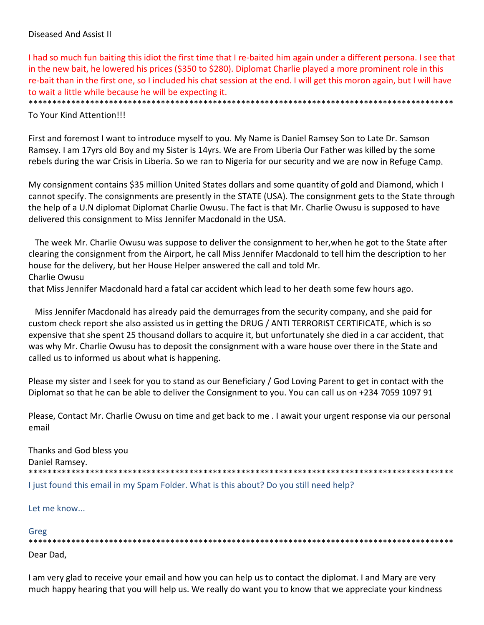# Diseased And Assist II

I had so much fun baiting this idiot the first time that I re‐baited him again under a different persona. I see that in the new bait, he lowered his prices (\$350 to \$280). Diplomat Charlie played a more prominent role in this re-bait than in the first one, so I included his chat session at the end. I will get this moron again, but I will have to wait a little while because he will be expecting it.

\*\*\*\*\*\*\*\*\*\*\*\*\*\*\*\*\*\*\*\*\*\*\*\*\*\*\*\*\*\*\*\*\*\*\*\*\*\*\*\*\*\*\*\*\*\*\*\*\*\*\*\*\*\*\*\*\*\*\*\*\*\*\*\*\*\*\*\*\*\*\*\*\*\*\*\*\*\*\*\*\*\*\*\*\*\*\*\*\*\*

To Your Kind Attention!!!

First and foremost I want to introduce myself to you. My Name is Daniel Ramsey Son to Late Dr. Samson Ramsey. I am 17yrs old Boy and my Sister is 14yrs. We are From Liberia Our Father was killed by the some rebels during the war Crisis in Liberia. So we ran to Nigeria for our security and we are now in Refuge Camp.

My consignment contains \$35 million United States dollars and some quantity of gold and Diamond, which I cannot specify. The consignments are presently in the STATE (USA). The consignment gets to the State through the help of a U.N diplomat Diplomat Charlie Owusu. The fact is that Mr. Charlie Owusu is supposed to have delivered this consignment to Miss Jennifer Macdonald in the USA.

 The week Mr. Charlie Owusu was suppose to deliver the consignment to her,when he got to the State after clearing the consignment from the Airport, he call Miss Jennifer Macdonald to tell him the description to her house for the delivery, but her House Helper answered the call and told Mr. Charlie Owusu

that Miss Jennifer Macdonald hard a fatal car accident which lead to her death some few hours ago.

 Miss Jennifer Macdonald has already paid the demurrages from the security company, and she paid for custom check report she also assisted us in getting the DRUG / ANTI TERRORIST CERTIFICATE, which is so expensive that she spent 25 thousand dollars to acquire it, but unfortunately she died in a car accident, that was why Mr. Charlie Owusu has to deposit the consignment with a ware house over there in the State and called us to informed us about what is happening.

Please my sister and I seek for you to stand as our Beneficiary / God Loving Parent to get in contact with the Diplomat so that he can be able to deliver the Consignment to you. You can call us on +234 7059 1097 91

Please, Contact Mr. Charlie Owusu on time and get back to me . I await your urgent response via our personal email

Thanks and God bless you Daniel Ramsey. \*\*\*\*\*\*\*\*\*\*\*\*\*\*\*\*\*\*\*\*\*\*\*\*\*\*\*\*\*\*\*\*\*\*\*\*\*\*\*\*\*\*\*\*\*\*\*\*\*\*\*\*\*\*\*\*\*\*\*\*\*\*\*\*\*\*\*\*\*\*\*\*\*\*\*\*\*\*\*\*\*\*\*\*\*\*\*\*\*\* I just found this email in my Spam Folder. What is this about? Do you still need help?

Let me know...

#### Greg

\*\*\*\*\*\*\*\*\*\*\*\*\*\*\*\*\*\*\*\*\*\*\*\*\*\*\*\*\*\*\*\*\*\*\*\*\*\*\*\*\*\*\*\*\*\*\*\*\*\*\*\*\*\*\*\*\*\*\*\*\*\*\*\*\*\*\*\*\*\*\*\*\*\*\*\*\*\*\*\*\*\*\*\*\*\*\*\*\*\* Dear Dad,

I am very glad to receive your email and how you can help us to contact the diplomat. I and Mary are very much happy hearing that you will help us. We really do want you to know that we appreciate your kindness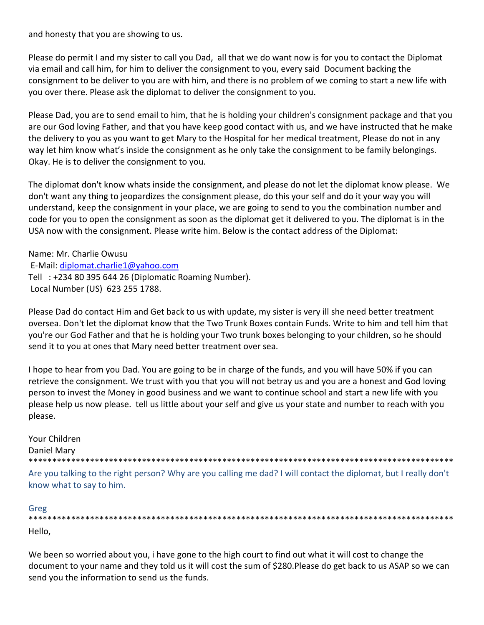and honesty that you are showing to us.

Please do permit I and my sister to call you Dad, all that we do want now is for you to contact the Diplomat via email and call him, for him to deliver the consignment to you, every said Document backing the consignment to be deliver to you are with him, and there is no problem of we coming to start a new life with you over there. Please ask the diplomat to deliver the consignment to you.

Please Dad, you are to send email to him, that he is holding your children's consignment package and that you are our God loving Father, and that you have keep good contact with us, and we have instructed that he make the delivery to you as you want to get Mary to the Hospital for her medical treatment, Please do not in any way let him know what's inside the consignment as he only take the consignment to be family belongings. Okay. He is to deliver the consignment to you.

The diplomat don't know whats inside the consignment, and please do not let the diplomat know please. We don't want any thing to jeopardizes the consignment please, do this your self and do it your way you will understand, keep the consignment in your place, we are going to send to you the combination number and code for you to open the consignment as soon as the diplomat get it delivered to you. The diplomat is in the USA now with the consignment. Please write him. Below is the contact address of the Diplomat:

Name: Mr. Charlie Owusu E‐Mail: diplomat.charlie1@yahoo.com Tell : +234 80 395 644 26 (Diplomatic Roaming Number). Local Number (US) 623 255 1788.

Please Dad do contact Him and Get back to us with update, my sister is very ill she need better treatment oversea. Don't let the diplomat know that the Two Trunk Boxes contain Funds. Write to him and tell him that you're our God Father and that he is holding your Two trunk boxes belonging to your children, so he should send it to you at ones that Mary need better treatment over sea.

I hope to hear from you Dad. You are going to be in charge of the funds, and you will have 50% if you can retrieve the consignment. We trust with you that you will not betray us and you are a honest and God loving person to invest the Money in good business and we want to continue school and start a new life with you please help us now please. tell us little about your self and give us your state and number to reach with you please.

Your Children Daniel Mary \*\*\*\*\*\*\*\*\*\*\*\*\*\*\*\*\*\*\*\*\*\*\*\*\*\*\*\*\*\*\*\*\*\*\*\*\*\*\*\*\*\*\*\*\*\*\*\*\*\*\*\*\*\*\*\*\*\*\*\*\*\*\*\*\*\*\*\*\*\*\*\*\*\*\*\*\*\*\*\*\*\*\*\*\*\*\*\*\*\* Are you talking to the right person? Why are you calling me dad? I will contact the diplomat, but I really don't

Greg

know what to say to him.

\*\*\*\*\*\*\*\*\*\*\*\*\*\*\*\*\*\*\*\*\*\*\*\*\*\*\*\*\*\*\*\*\*\*\*\*\*\*\*\*\*\*\*\*\*\*\*\*\*\*\*\*\*\*\*\*\*\*\*\*\*\*\*\*\*\*\*\*\*\*\*\*\*\*\*\*\*\*\*\*\*\*\*\*\*\*\*\*\*\* Hello,

We been so worried about you, i have gone to the high court to find out what it will cost to change the document to your name and they told us it will cost the sum of \$280.Please do get back to us ASAP so we can send you the information to send us the funds.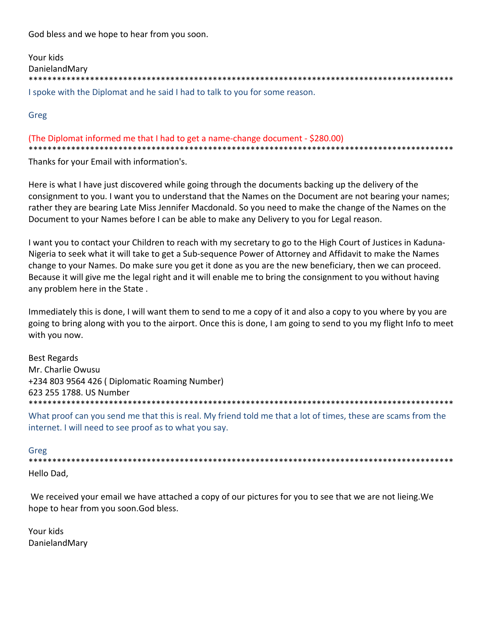God bless and we hope to hear from you soon.

| Your kids                                                                   |
|-----------------------------------------------------------------------------|
| DanielandMary                                                               |
|                                                                             |
| I spoke with the Diplomat and he said I had to talk to you for some reason. |

Greg

# (The Diplomat informed me that I had to get a name‐change document ‐ \$280.00) \*\*\*\*\*\*\*\*\*\*\*\*\*\*\*\*\*\*\*\*\*\*\*\*\*\*\*\*\*\*\*\*\*\*\*\*\*\*\*\*\*\*\*\*\*\*\*\*\*\*\*\*\*\*\*\*\*\*\*\*\*\*\*\*\*\*\*\*\*\*\*\*\*\*\*\*\*\*\*\*\*\*\*\*\*\*\*\*\*\*

Thanks for your Email with information's.

Here is what I have just discovered while going through the documents backing up the delivery of the consignment to you. I want you to understand that the Names on the Document are not bearing your names; rather they are bearing Late Miss Jennifer Macdonald. So you need to make the change of the Names on the Document to your Names before I can be able to make any Delivery to you for Legal reason.

I want you to contact your Children to reach with my secretary to go to the High Court of Justices in Kaduna‐ Nigeria to seek what it will take to get a Sub‐sequence Power of Attorney and Affidavit to make the Names change to your Names. Do make sure you get it done as you are the new beneficiary, then we can proceed. Because it will give me the legal right and it will enable me to bring the consignment to you without having any problem here in the State .

Immediately this is done, I will want them to send to me a copy of it and also a copy to you where by you are going to bring along with you to the airport. Once this is done, I am going to send to you my flight Info to meet with you now.

Best Regards Mr. Charlie Owusu +234 803 9564 426 ( Diplomatic Roaming Number) 623 255 1788. US Number \*\*\*\*\*\*\*\*\*\*\*\*\*\*\*\*\*\*\*\*\*\*\*\*\*\*\*\*\*\*\*\*\*\*\*\*\*\*\*\*\*\*\*\*\*\*\*\*\*\*\*\*\*\*\*\*\*\*\*\*\*\*\*\*\*\*\*\*\*\*\*\*\*\*\*\*\*\*\*\*\*\*\*\*\*\*\*\*\*\*

What proof can you send me that this is real. My friend told me that a lot of times, these are scams from the internet. I will need to see proof as to what you say.

## Greg

\*\*\*\*\*\*\*\*\*\*\*\*\*\*\*\*\*\*\*\*\*\*\*\*\*\*\*\*\*\*\*\*\*\*\*\*\*\*\*\*\*\*\*\*\*\*\*\*\*\*\*\*\*\*\*\*\*\*\*\*\*\*\*\*\*\*\*\*\*\*\*\*\*\*\*\*\*\*\*\*\*\*\*\*\*\*\*\*\*\* Hello Dad,

We received your email we have attached a copy of our pictures for you to see that we are not lieing.We hope to hear from you soon.God bless.

Your kids DanielandMary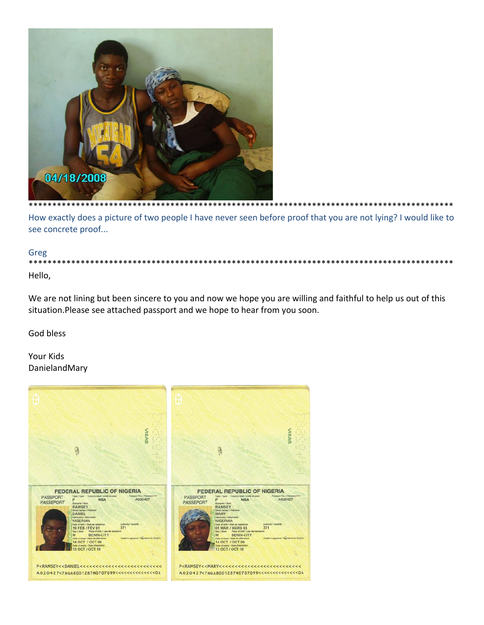

How exactly does a picture of two people I have never seen before proof that you are not lying? I would like to see concrete proof...

\*\*\*\*\*\*\*\*\*\*\*\*\*\*\*\*\*\*

### Greg

\*\*\*\*\* \*\*\*\*\*\*\* \*\*\*\*\*\*\*\* Hello,

We are not lining but been sincere to you and now we hope you are willing and faithful to help us out of this situation. Please see attached passport and we hope to hear from you soon.

God bless

Your Kids DanielandMary

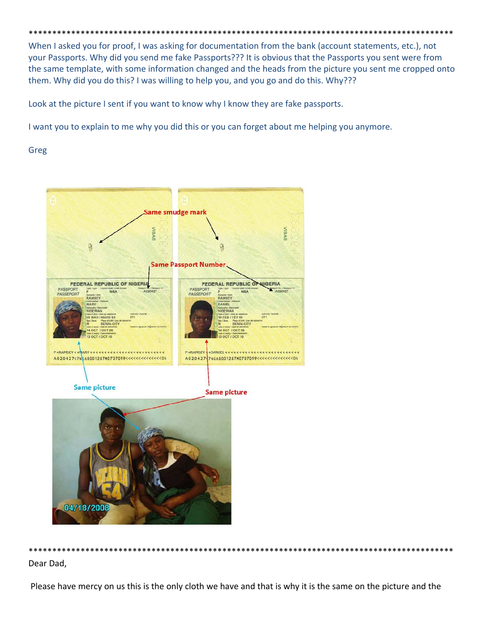When I asked you for proof, I was asking for documentation from the bank (account statements, etc.), not your Passports. Why did you send me fake Passports??? It is obvious that the Passports you sent were from the same template, with some information changed and the heads from the picture you sent me cropped onto them. Why did you do this? I was willing to help you, and you go and do this. Why???

Look at the picture I sent if you want to know why I know they are fake passports.

I want you to explain to me why you did this or you can forget about me helping you anymore.

Greg



Dear Dad,

Please have mercy on us this is the only cloth we have and that is why it is the same on the picture and the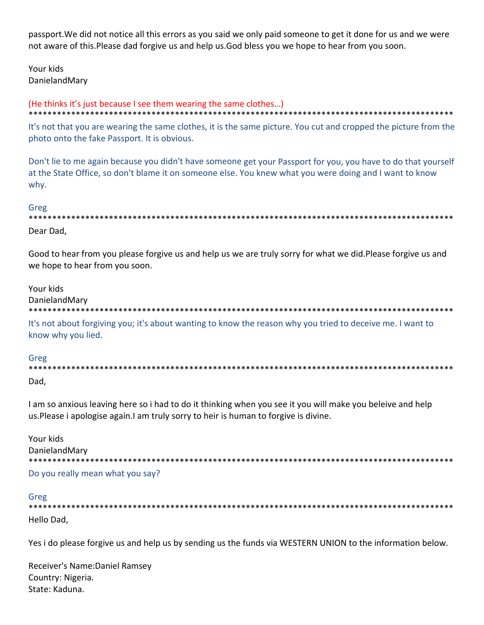passport. We did not notice all this errors as you said we only paid someone to get it done for us and we were not aware of this. Please dad forgive us and help us. God bless you we hope to hear from you soon.

Your kids DanielandMarv

#### (He thinks it's just because I see them wearing the same clothes...)

It's not that you are wearing the same clothes, it is the same picture. You cut and cropped the picture from the photo onto the fake Passport. It is obvious.

Don't lie to me again because you didn't have someone get your Passport for you, you have to do that yourself at the State Office, so don't blame it on someone else. You knew what you were doing and I want to know why.

### Greg

Dear Dad,

Good to hear from you please forgive us and help us we are truly sorry for what we did. Please forgive us and we hope to hear from you soon.

Your kids

DanielandMary

It's not about forgiving you; it's about wanting to know the reason why you tried to deceive me. I want to know why you lied.

Greg

Dad.

I am so anxious leaving here so i had to do it thinking when you see it you will make you beleive and help us. Please i apologise again. I am truly sorry to heir is human to forgive is divine.

| Your kids                        |
|----------------------------------|
| DanielandMary                    |
|                                  |
| Do you really mean what you say? |

# Greg

Hello Dad,

Yes i do please forgive us and help us by sending us the funds via WESTERN UNION to the information below.

Receiver's Name: Daniel Ramsey Country: Nigeria. State: Kaduna.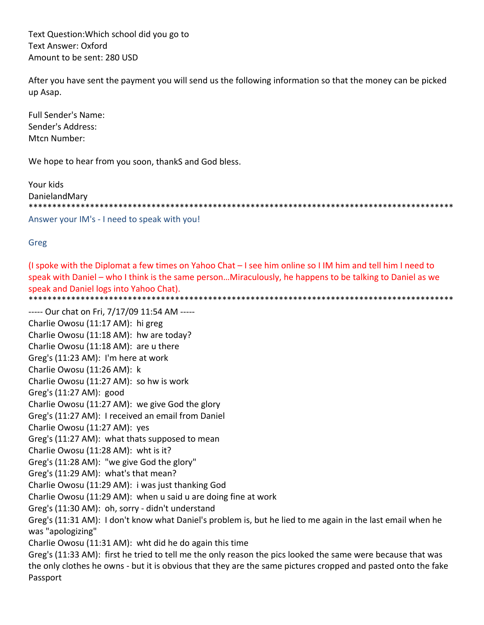Text Question: Which school did you go to **Text Answer: Oxford** Amount to be sent: 280 USD

After you have sent the payment you will send us the following information so that the money can be picked up Asap.

**Full Sender's Name:** Sender's Address: Mtcn Number:

We hope to hear from you soon, thankS and God bless.

Your kids DanielandMary 

Answer your IM's - I need to speak with you!

Greg

(I spoke with the Diplomat a few times on Yahoo Chat - I see him online so I IM him and tell him I need to speak with Daniel – who I think is the same person...Miraculously, he happens to be talking to Daniel as we speak and Daniel logs into Yahoo Chat). 

----- Our chat on Fri, 7/17/09 11:54 AM -----Charlie Owosu (11:17 AM): hi greg Charlie Owosu (11:18 AM): hw are today? Charlie Owosu (11:18 AM): are u there Greg's (11:23 AM): I'm here at work Charlie Owosu (11:26 AM): k Charlie Owosu (11:27 AM): so hw is work Greg's (11:27 AM): good Charlie Owosu (11:27 AM): we give God the glory Greg's (11:27 AM): I received an email from Daniel Charlie Owosu (11:27 AM): yes Greg's (11:27 AM): what thats supposed to mean Charlie Owosu (11:28 AM): wht is it? Greg's (11:28 AM): "we give God the glory" Greg's (11:29 AM): what's that mean? Charlie Owosu (11:29 AM): i was just thanking God Charlie Owosu (11:29 AM): when u said u are doing fine at work Greg's (11:30 AM): oh, sorry - didn't understand Greg's (11:31 AM): I don't know what Daniel's problem is, but he lied to me again in the last email when he was "apologizing" Charlie Owosu (11:31 AM): wht did he do again this time Greg's (11:33 AM): first he tried to tell me the only reason the pics looked the same were because that was the only clothes he owns - but it is obvious that they are the same pictures cropped and pasted onto the fake Passport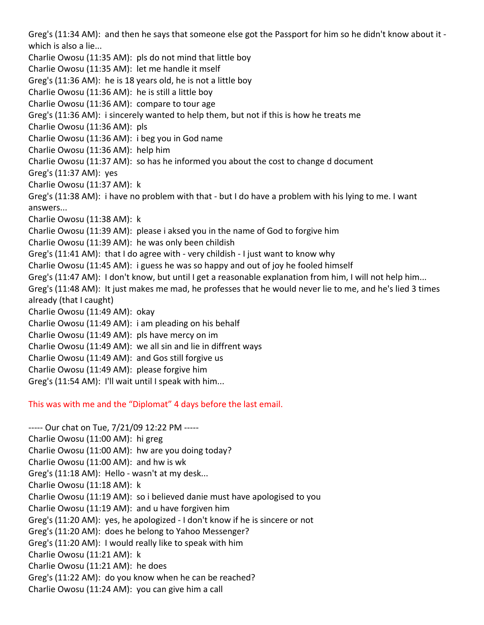Greg's (11:34 AM): and then he says that someone else got the Passport for him so he didn't know about it ‐ which is also a lie... Charlie Owosu (11:35 AM): pls do not mind that little boy Charlie Owosu (11:35 AM): let me handle it mself Greg's (11:36 AM): he is 18 years old, he is not a little boy Charlie Owosu (11:36 AM): he is still a little boy Charlie Owosu (11:36 AM): compare to tour age Greg's (11:36 AM): i sincerely wanted to help them, but not if this is how he treats me Charlie Owosu (11:36 AM): pls Charlie Owosu (11:36 AM): i beg you in God name Charlie Owosu (11:36 AM): help him Charlie Owosu (11:37 AM): so has he informed you about the cost to change d document Greg's (11:37 AM): yes Charlie Owosu (11:37 AM): k Greg's (11:38 AM): i have no problem with that ‐ but I do have a problem with his lying to me. I want answers... Charlie Owosu (11:38 AM): k Charlie Owosu (11:39 AM): please i aksed you in the name of God to forgive him Charlie Owosu (11:39 AM): he was only been childish Greg's (11:41 AM): that I do agree with ‐ very childish ‐ I just want to know why Charlie Owosu (11:45 AM): i guess he was so happy and out of joy he fooled himself Greg's (11:47 AM): I don't know, but until I get a reasonable explanation from him, I will not help him... Greg's (11:48 AM): It just makes me mad, he professes that he would never lie to me, and he's lied 3 times already (that I caught) Charlie Owosu (11:49 AM): okay Charlie Owosu (11:49 AM): i am pleading on his behalf Charlie Owosu (11:49 AM): pls have mercy on im Charlie Owosu (11:49 AM): we all sin and lie in diffrent ways Charlie Owosu (11:49 AM): and Gos still forgive us Charlie Owosu (11:49 AM): please forgive him Greg's (11:54 AM): I'll wait until I speak with him...

This was with me and the "Diplomat" 4 days before the last email.

‐‐‐‐‐ Our chat on Tue, 7/21/09 12:22 PM ‐‐‐‐‐ Charlie Owosu (11:00 AM): hi greg Charlie Owosu (11:00 AM): hw are you doing today? Charlie Owosu (11:00 AM): and hw is wk Greg's (11:18 AM): Hello ‐ wasn't at my desk... Charlie Owosu (11:18 AM): k Charlie Owosu (11:19 AM): so i believed danie must have apologised to you Charlie Owosu (11:19 AM): and u have forgiven him Greg's (11:20 AM): yes, he apologized ‐ I don't know if he is sincere or not Greg's (11:20 AM): does he belong to Yahoo Messenger? Greg's (11:20 AM): I would really like to speak with him Charlie Owosu (11:21 AM): k Charlie Owosu (11:21 AM): he does Greg's (11:22 AM): do you know when he can be reached? Charlie Owosu (11:24 AM): you can give him a call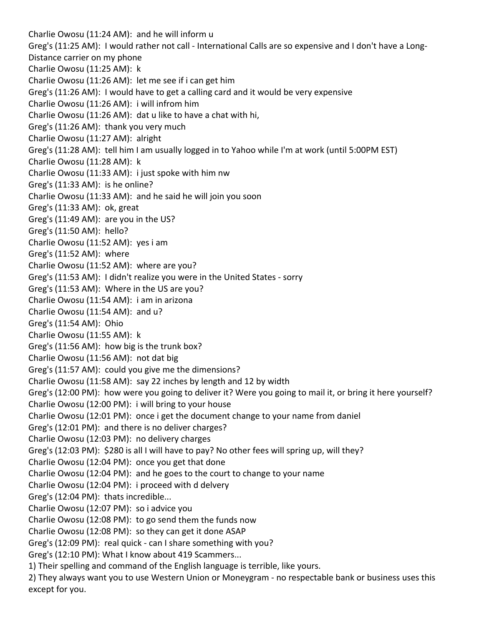Charlie Owosu (11:24 AM): and he will inform u Greg's (11:25 AM): I would rather not call ‐ International Calls are so expensive and I don't have a Long‐ Distance carrier on my phone Charlie Owosu (11:25 AM): k Charlie Owosu (11:26 AM): let me see if i can get him Greg's (11:26 AM): I would have to get a calling card and it would be very expensive Charlie Owosu (11:26 AM): i will infrom him Charlie Owosu (11:26 AM): dat u like to have a chat with hi, Greg's (11:26 AM): thank you very much Charlie Owosu (11:27 AM): alright Greg's (11:28 AM): tell him I am usually logged in to Yahoo while I'm at work (until 5:00PM EST) Charlie Owosu (11:28 AM): k Charlie Owosu (11:33 AM): i just spoke with him nw Greg's (11:33 AM): is he online? Charlie Owosu (11:33 AM): and he said he will join you soon Greg's (11:33 AM): ok, great Greg's (11:49 AM): are you in the US? Greg's (11:50 AM): hello? Charlie Owosu (11:52 AM): yes i am Greg's (11:52 AM): where Charlie Owosu (11:52 AM): where are you? Greg's (11:53 AM): I didn't realize you were in the United States ‐ sorry Greg's (11:53 AM): Where in the US are you? Charlie Owosu (11:54 AM): i am in arizona Charlie Owosu (11:54 AM): and u? Greg's (11:54 AM): Ohio Charlie Owosu (11:55 AM): k Greg's (11:56 AM): how big is the trunk box? Charlie Owosu (11:56 AM): not dat big Greg's (11:57 AM): could you give me the dimensions? Charlie Owosu (11:58 AM): say 22 inches by length and 12 by width Greg's (12:00 PM): how were you going to deliver it? Were you going to mail it, or bring it here yourself? Charlie Owosu (12:00 PM): i will bring to your house Charlie Owosu (12:01 PM): once i get the document change to your name from daniel Greg's (12:01 PM): and there is no deliver charges? Charlie Owosu (12:03 PM): no delivery charges Greg's (12:03 PM): \$280 is all I will have to pay? No other fees will spring up, will they? Charlie Owosu (12:04 PM): once you get that done Charlie Owosu (12:04 PM): and he goes to the court to change to your name Charlie Owosu (12:04 PM): i proceed with d delvery Greg's (12:04 PM): thats incredible... Charlie Owosu (12:07 PM): so i advice you Charlie Owosu (12:08 PM): to go send them the funds now Charlie Owosu (12:08 PM): so they can get it done ASAP Greg's (12:09 PM): real quick ‐ can I share something with you? Greg's (12:10 PM): What I know about 419 Scammers... 1) Their spelling and command of the English language is terrible, like yours. 2) They always want you to use Western Union or Moneygram ‐ no respectable bank or business uses this except for you.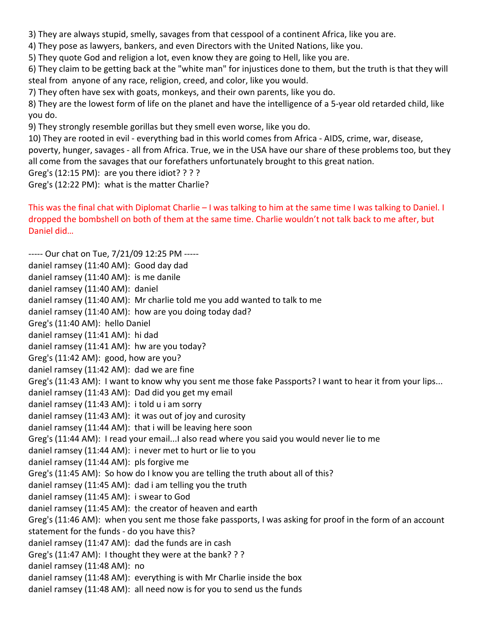3) They are always stupid, smelly, savages from that cesspool of a continent Africa, like you are.

4) They pose as lawyers, bankers, and even Directors with the United Nations, like you.

5) They quote God and religion a lot, even know they are going to Hell, like you are.

6) They claim to be getting back at the "white man" for injustices done to them, but the truth is that they will steal from anyone of any race, religion, creed, and color, like you would.

7) They often have sex with goats, monkeys, and their own parents, like you do.

8) They are the lowest form of life on the planet and have the intelligence of a 5-year old retarded child, like you do.

9) They strongly resemble gorillas but they smell even worse, like you do.

10) They are rooted in evil ‐ everything bad in this world comes from Africa ‐ AIDS, crime, war, disease, poverty, hunger, savages ‐ all from Africa. True, we in the USA have our share of these problems too, but they all come from the savages that our forefathers unfortunately brought to this great nation.

Greg's (12:15 PM): are you there idiot? ? ? ?

Greg's (12:22 PM): what is the matter Charlie?

This was the final chat with Diplomat Charlie – I was talking to him at the same time I was talking to Daniel. I dropped the bombshell on both of them at the same time. Charlie wouldn't not talk back to me after, but Daniel did…

‐‐‐‐‐ Our chat on Tue, 7/21/09 12:25 PM ‐‐‐‐‐ daniel ramsey (11:40 AM): Good day dad daniel ramsey (11:40 AM): is me danile daniel ramsey (11:40 AM): daniel daniel ramsey (11:40 AM): Mr charlie told me you add wanted to talk to me daniel ramsey (11:40 AM): how are you doing today dad? Greg's (11:40 AM): hello Daniel daniel ramsey (11:41 AM): hi dad daniel ramsey (11:41 AM): hw are you today? Greg's (11:42 AM): good, how are you? daniel ramsey (11:42 AM): dad we are fine Greg's (11:43 AM): I want to know why you sent me those fake Passports? I want to hear it from your lips... daniel ramsey (11:43 AM): Dad did you get my email daniel ramsey (11:43 AM): i told u i am sorry daniel ramsey (11:43 AM): it was out of joy and curosity daniel ramsey (11:44 AM): that i will be leaving here soon Greg's (11:44 AM): I read your email...I also read where you said you would never lie to me daniel ramsey (11:44 AM): i never met to hurt or lie to you daniel ramsey (11:44 AM): pls forgive me Greg's (11:45 AM): So how do I know you are telling the truth about all of this? daniel ramsey (11:45 AM): dad i am telling you the truth daniel ramsey (11:45 AM): i swear to God daniel ramsey (11:45 AM): the creator of heaven and earth Greg's (11:46 AM): when you sent me those fake passports, I was asking for proof in the form of an account statement for the funds ‐ do you have this? daniel ramsey (11:47 AM): dad the funds are in cash Greg's (11:47 AM): I thought they were at the bank? ? ? daniel ramsey (11:48 AM): no daniel ramsey (11:48 AM): everything is with Mr Charlie inside the box daniel ramsey (11:48 AM): all need now is for you to send us the funds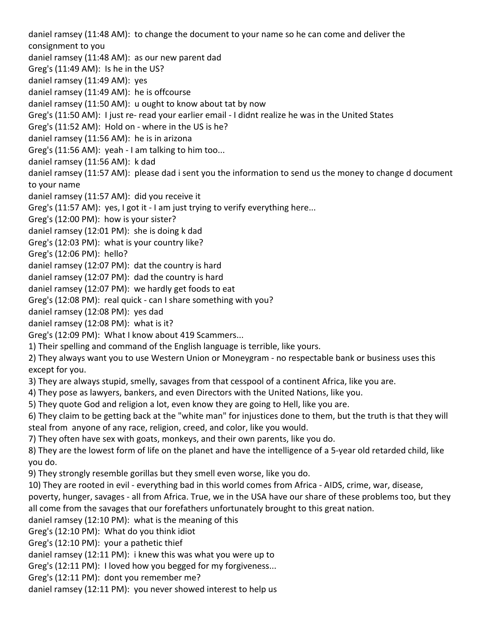daniel ramsey (11:48 AM): to change the document to your name so he can come and deliver the consignment to you daniel ramsey (11:48 AM): as our new parent dad Greg's (11:49 AM): Is he in the US? daniel ramsey (11:49 AM): yes daniel ramsey (11:49 AM): he is offcourse daniel ramsey (11:50 AM): u ought to know about tat by now Greg's (11:50 AM): I just re‐ read your earlier email ‐ I didnt realize he was in the United States Greg's (11:52 AM): Hold on ‐ where in the US is he? daniel ramsey (11:56 AM): he is in arizona Greg's (11:56 AM): yeah ‐ I am talking to him too... daniel ramsey (11:56 AM): k dad daniel ramsey (11:57 AM): please dad i sent you the information to send us the money to change d document to your name daniel ramsey (11:57 AM): did you receive it Greg's (11:57 AM): yes, I got it ‐ I am just trying to verify everything here... Greg's (12:00 PM): how is your sister? daniel ramsey (12:01 PM): she is doing k dad Greg's (12:03 PM): what is your country like? Greg's (12:06 PM): hello? daniel ramsey (12:07 PM): dat the country is hard daniel ramsey (12:07 PM): dad the country is hard daniel ramsey (12:07 PM): we hardly get foods to eat Greg's (12:08 PM): real quick ‐ can I share something with you? daniel ramsey (12:08 PM): yes dad daniel ramsey (12:08 PM): what is it? Greg's (12:09 PM): What I know about 419 Scammers... 1) Their spelling and command of the English language is terrible, like yours. 2) They always want you to use Western Union or Moneygram ‐ no respectable bank or business uses this except for you. 3) They are always stupid, smelly, savages from that cesspool of a continent Africa, like you are. 4) They pose as lawyers, bankers, and even Directors with the United Nations, like you. 5) They quote God and religion a lot, even know they are going to Hell, like you are. 6) They claim to be getting back at the "white man" for injustices done to them, but the truth is that they will steal from anyone of any race, religion, creed, and color, like you would. 7) They often have sex with goats, monkeys, and their own parents, like you do. 8) They are the lowest form of life on the planet and have the intelligence of a 5‐year old retarded child, like you do. 9) They strongly resemble gorillas but they smell even worse, like you do. 10) They are rooted in evil ‐ everything bad in this world comes from Africa ‐ AIDS, crime, war, disease, poverty, hunger, savages ‐ all from Africa. True, we in the USA have our share of these problems too, but they all come from the savages that our forefathers unfortunately brought to this great nation. daniel ramsey (12:10 PM): what is the meaning of this Greg's (12:10 PM): What do you think idiot Greg's (12:10 PM): your a pathetic thief daniel ramsey (12:11 PM): i knew this was what you were up to Greg's (12:11 PM): I loved how you begged for my forgiveness... Greg's (12:11 PM): dont you remember me? daniel ramsey (12:11 PM): you never showed interest to help us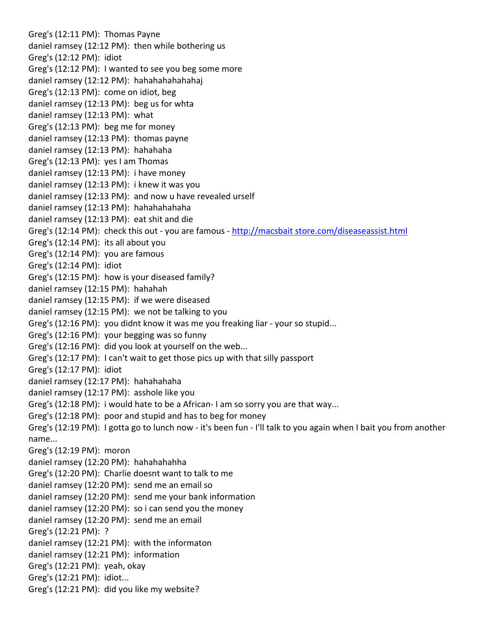Greg's (12:11 PM): Thomas Payne daniel ramsey (12:12 PM): then while bothering us Greg's (12:12 PM): idiot Greg's (12:12 PM): I wanted to see you beg some more daniel ramsey (12:12 PM): hahahahahahahaj Greg's (12:13 PM): come on idiot, beg daniel ramsey (12:13 PM): beg us for whta daniel ramsey (12:13 PM): what Greg's (12:13 PM): beg me for money daniel ramsey (12:13 PM): thomas payne daniel ramsey (12:13 PM): hahahaha Greg's (12:13 PM): yes I am Thomas daniel ramsey (12:13 PM): i have money daniel ramsey (12:13 PM): i knew it was you daniel ramsey (12:13 PM): and now u have revealed urself daniel ramsey (12:13 PM): hahahahahaha daniel ramsey (12:13 PM): eat shit and die Greg's (12:14 PM): check this out ‐ you are famous ‐ http://macsbait store.com/diseaseassist.html Greg's (12:14 PM): its all about you Greg's (12:14 PM): you are famous Greg's (12:14 PM): idiot Greg's (12:15 PM): how is your diseased family? daniel ramsey (12:15 PM): hahahah daniel ramsey (12:15 PM): if we were diseased daniel ramsey (12:15 PM): we not be talking to you Greg's (12:16 PM): you didnt know it was me you freaking liar ‐ your so stupid... Greg's (12:16 PM): your begging was so funny Greg's (12:16 PM): did you look at yourself on the web... Greg's (12:17 PM): I can't wait to get those pics up with that silly passport Greg's (12:17 PM): idiot daniel ramsey (12:17 PM): hahahahaha daniel ramsey (12:17 PM): asshole like you Greg's (12:18 PM): i would hate to be a African‐ I am so sorry you are that way... Greg's (12:18 PM): poor and stupid and has to beg for money Greg's (12:19 PM): I gotta go to lunch now ‐ it's been fun ‐ I'll talk to you again when I bait you from another name... Greg's (12:19 PM): moron daniel ramsey (12:20 PM): hahahahahha Greg's (12:20 PM): Charlie doesnt want to talk to me daniel ramsey (12:20 PM): send me an email so daniel ramsey (12:20 PM): send me your bank information daniel ramsey (12:20 PM): so i can send you the money daniel ramsey (12:20 PM): send me an email Greg's (12:21 PM): ? daniel ramsey (12:21 PM): with the informaton daniel ramsey (12:21 PM): information Greg's (12:21 PM): yeah, okay Greg's (12:21 PM): idiot... Greg's (12:21 PM): did you like my website?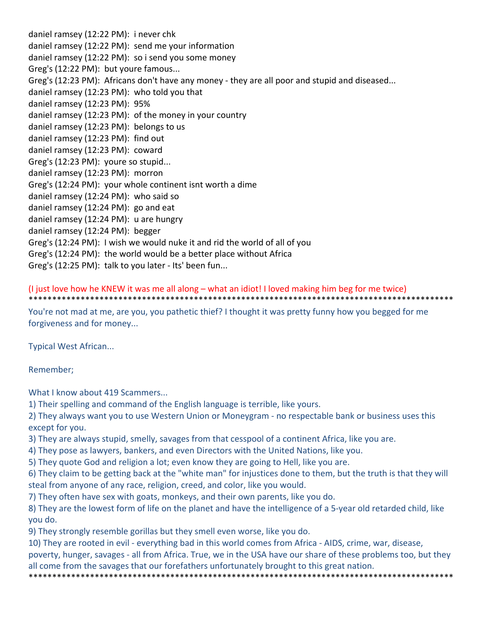daniel ramsey (12:22 PM): i never chk daniel ramsey (12:22 PM): send me your information daniel ramsey (12:22 PM): so i send you some money Greg's (12:22 PM): but youre famous... Greg's (12:23 PM): Africans don't have any money - they are all poor and stupid and diseased... daniel ramsey (12:23 PM): who told you that daniel ramsey (12:23 PM): 95% daniel ramsey (12:23 PM): of the money in your country daniel ramsey (12:23 PM): belongs to us daniel ramsey (12:23 PM): find out daniel ramsey (12:23 PM): coward Greg's (12:23 PM): youre so stupid... daniel ramsey (12:23 PM): morron Greg's (12:24 PM): your whole continent isnt worth a dime daniel ramsey (12:24 PM): who said so daniel ramsey (12:24 PM): go and eat daniel ramsey (12:24 PM): u are hungry daniel ramsey (12:24 PM): begger Greg's (12:24 PM): I wish we would nuke it and rid the world of all of you Greg's (12:24 PM): the world would be a better place without Africa Greg's (12:25 PM): talk to you later ‐ Its' been fun...

(I just love how he KNEW it was me all along – what an idiot! I loved making him beg for me twice)

\*\*\*\*\*\*\*\*\*\*\*\*\*\*\*\*\*\*\*\*\*\*\*\*\*\*\*\*\*\*\*\*\*\*\*\*\*\*\*\*\*\*\*\*\*\*\*\*\*\*\*\*\*\*\*\*\*\*\*\*\*\*\*\*\*\*\*\*\*\*\*\*\*\*\*\*\*\*\*\*\*\*\*\*\*\*\*\*\*\*

You're not mad at me, are you, you pathetic thief? I thought it was pretty funny how you begged for me forgiveness and for money...

Typical West African...

Remember;

What I know about 419 Scammers...

1) Their spelling and command of the English language is terrible, like yours.

2) They always want you to use Western Union or Moneygram ‐ no respectable bank or business uses this except for you.

3) They are always stupid, smelly, savages from that cesspool of a continent Africa, like you are.

4) They pose as lawyers, bankers, and even Directors with the United Nations, like you.

5) They quote God and religion a lot; even know they are going to Hell, like you are.

6) They claim to be getting back at the "white man" for injustices done to them, but the truth is that they will steal from anyone of any race, religion, creed, and color, like you would.

7) They often have sex with goats, monkeys, and their own parents, like you do.

8) They are the lowest form of life on the planet and have the intelligence of a 5-year old retarded child, like you do.

9) They strongly resemble gorillas but they smell even worse, like you do.

10) They are rooted in evil ‐ everything bad in this world comes from Africa ‐ AIDS, crime, war, disease,

poverty, hunger, savages ‐ all from Africa. True, we in the USA have our share of these problems too, but they all come from the savages that our forefathers unfortunately brought to this great nation.

\*\*\*\*\*\*\*\*\*\*\*\*\*\*\*\*\*\*\*\*\*\*\*\*\*\*\*\*\*\*\*\*\*\*\*\*\*\*\*\*\*\*\*\*\*\*\*\*\*\*\*\*\*\*\*\*\*\*\*\*\*\*\*\*\*\*\*\*\*\*\*\*\*\*\*\*\*\*\*\*\*\*\*\*\*\*\*\*\*\*